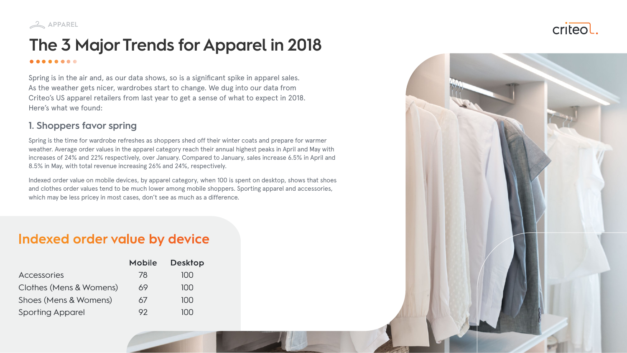

### **The 3 Major Trends for Apparel in 2018** . . . . . . .

Spring is in the air and, as our data shows, so is a significant spike in apparel sales. As the weather gets nicer, wardrobes start to change. We dug into our data from Criteo's US apparel retailers from last year to get a sense of what to expect in 2018. Here's what we found:

#### **1. Shoppers favor spring**

Indexed order value on mobile devices, by apparel category, when 100 is spent on desktop, shows that shoes and clothes order values tend to be much lower among mobile shoppers. Sporting apparel and accessories, which may be less pricey in most cases, don't see as much as a difference.

## Indexed order value by device

Spring is the time for wardrobe refreshes as shoppers shed off their winter coats and prepare for warmer weather. Average order values in the apparel category reach their annual highest peaks in April and May with increases of 24% and 22% respectively, over January. Compared to January, sales increase 6.5% in April and 8.5% in May, with total revenue increasing 26% and 24%, respectively.

|                         | <b>Mobile</b> | <b>Desktop</b> |
|-------------------------|---------------|----------------|
| <b>Accessories</b>      | 78            | 100            |
| Clothes (Mens & Womens) | 69            | 100            |
| Shoes (Mens & Womens)   | 67            | 100            |
| <b>Sporting Apparel</b> | 92            | $\bigcap$      |